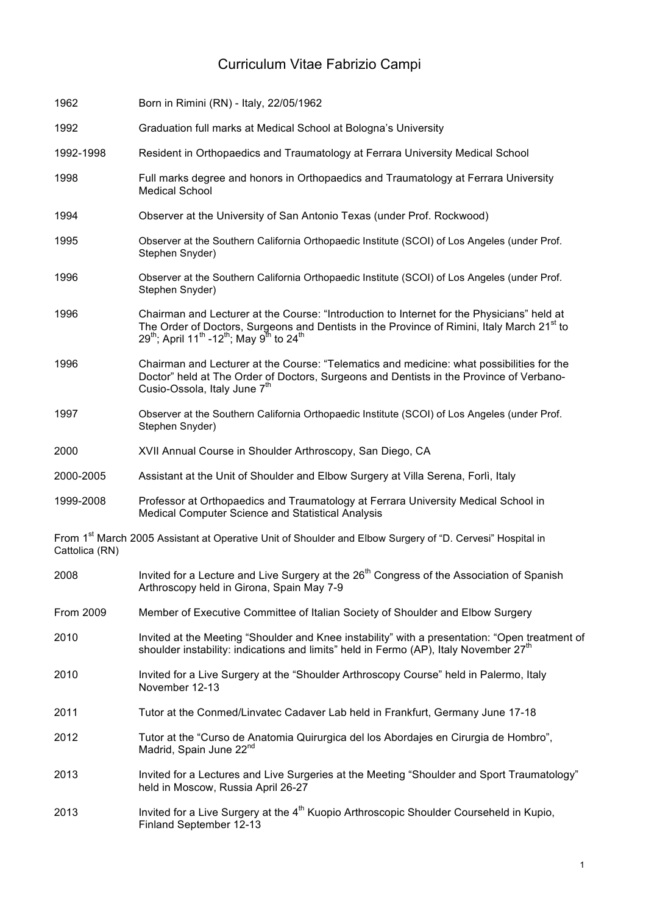# Curriculum Vitae Fabrizio Campi

| 1962                                                                                                                                    | Born in Rimini (RN) - Italy, 22/05/1962                                                                                                                                                                                                                                                                |
|-----------------------------------------------------------------------------------------------------------------------------------------|--------------------------------------------------------------------------------------------------------------------------------------------------------------------------------------------------------------------------------------------------------------------------------------------------------|
| 1992                                                                                                                                    | Graduation full marks at Medical School at Bologna's University                                                                                                                                                                                                                                        |
| 1992-1998                                                                                                                               | Resident in Orthopaedics and Traumatology at Ferrara University Medical School                                                                                                                                                                                                                         |
| 1998                                                                                                                                    | Full marks degree and honors in Orthopaedics and Traumatology at Ferrara University<br><b>Medical School</b>                                                                                                                                                                                           |
| 1994                                                                                                                                    | Observer at the University of San Antonio Texas (under Prof. Rockwood)                                                                                                                                                                                                                                 |
| 1995                                                                                                                                    | Observer at the Southern California Orthopaedic Institute (SCOI) of Los Angeles (under Prof.<br>Stephen Snyder)                                                                                                                                                                                        |
| 1996                                                                                                                                    | Observer at the Southern California Orthopaedic Institute (SCOI) of Los Angeles (under Prof.<br>Stephen Snyder)                                                                                                                                                                                        |
| 1996                                                                                                                                    | Chairman and Lecturer at the Course: "Introduction to Internet for the Physicians" held at<br>The Order of Doctors, Surgeons and Dentists in the Province of Rimini, Italy March 21 <sup>st</sup> to<br>$29^{th}$ ; April 11 <sup>th</sup> -12 <sup>th</sup> ; May 9 <sup>th</sup> to 24 <sup>th</sup> |
| 1996                                                                                                                                    | Chairman and Lecturer at the Course: "Telematics and medicine: what possibilities for the<br>Doctor" held at The Order of Doctors, Surgeons and Dentists in the Province of Verbano-<br>Cusio-Ossola, Italy June 7 <sup>th</sup>                                                                       |
| 1997                                                                                                                                    | Observer at the Southern California Orthopaedic Institute (SCOI) of Los Angeles (under Prof.<br>Stephen Snyder)                                                                                                                                                                                        |
| 2000                                                                                                                                    | XVII Annual Course in Shoulder Arthroscopy, San Diego, CA                                                                                                                                                                                                                                              |
| 2000-2005                                                                                                                               | Assistant at the Unit of Shoulder and Elbow Surgery at Villa Serena, Forlì, Italy                                                                                                                                                                                                                      |
| 1999-2008                                                                                                                               | Professor at Orthopaedics and Traumatology at Ferrara University Medical School in<br>Medical Computer Science and Statistical Analysis                                                                                                                                                                |
| From 1 <sup>st</sup> March 2005 Assistant at Operative Unit of Shoulder and Elbow Surgery of "D. Cervesi" Hospital in<br>Cattolica (RN) |                                                                                                                                                                                                                                                                                                        |
| 2008                                                                                                                                    | Invited for a Lecture and Live Surgery at the 26 <sup>th</sup> Congress of the Association of Spanish<br>Arthroscopy held in Girona, Spain May 7-9                                                                                                                                                     |
| From 2009                                                                                                                               | Member of Executive Committee of Italian Society of Shoulder and Elbow Surgery                                                                                                                                                                                                                         |
| 2010                                                                                                                                    | Invited at the Meeting "Shoulder and Knee instability" with a presentation: "Open treatment of<br>shoulder instability: indications and limits" held in Fermo (AP), Italy November 27 <sup>th</sup>                                                                                                    |
| 2010                                                                                                                                    | Invited for a Live Surgery at the "Shoulder Arthroscopy Course" held in Palermo, Italy<br>November 12-13                                                                                                                                                                                               |
| 2011                                                                                                                                    | Tutor at the Conmed/Linvatec Cadaver Lab held in Frankfurt, Germany June 17-18                                                                                                                                                                                                                         |
| 2012                                                                                                                                    | Tutor at the "Curso de Anatomia Quirurgica del los Abordajes en Cirurgia de Hombro",<br>Madrid, Spain June 22 <sup>nd</sup>                                                                                                                                                                            |
| 2013                                                                                                                                    | Invited for a Lectures and Live Surgeries at the Meeting "Shoulder and Sport Traumatology"<br>held in Moscow, Russia April 26-27                                                                                                                                                                       |
| 2013                                                                                                                                    | Invited for a Live Surgery at the 4 <sup>th</sup> Kuopio Arthroscopic Shoulder Courseheld in Kupio,<br>Finland September 12-13                                                                                                                                                                         |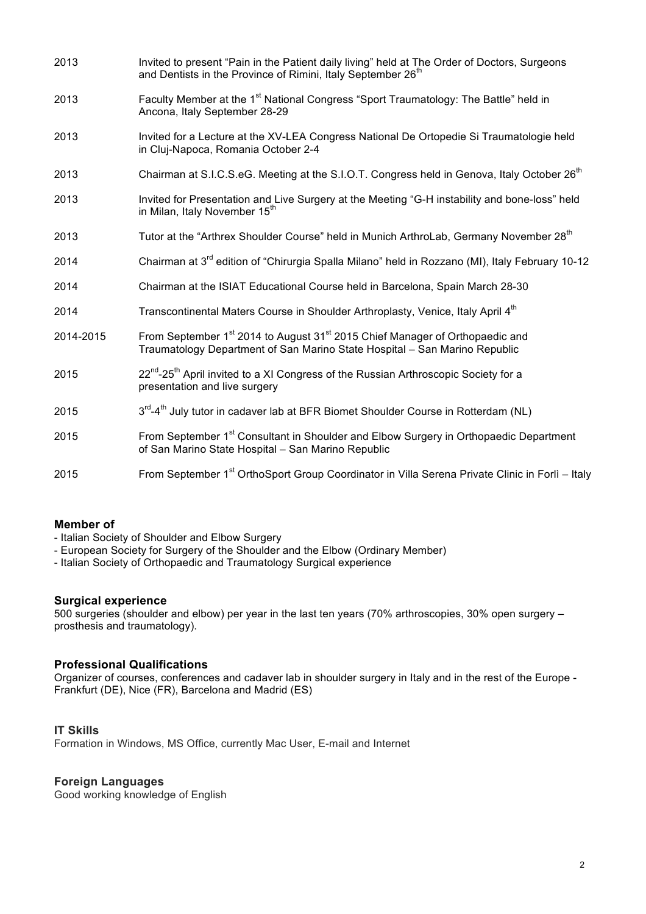| 2013      | Invited to present "Pain in the Patient daily living" held at The Order of Doctors, Surgeons<br>and Dentists in the Province of Rimini, Italy September 26 <sup>th</sup>           |
|-----------|------------------------------------------------------------------------------------------------------------------------------------------------------------------------------------|
| 2013      | Faculty Member at the 1 <sup>st</sup> National Congress "Sport Traumatology: The Battle" held in<br>Ancona, Italy September 28-29                                                  |
| 2013      | Invited for a Lecture at the XV-LEA Congress National De Ortopedie Si Traumatologie held<br>in Cluj-Napoca, Romania October 2-4                                                    |
| 2013      | Chairman at S.I.C.S.eG. Meeting at the S.I.O.T. Congress held in Genova, Italy October 26 <sup>th</sup>                                                                            |
| 2013      | Invited for Presentation and Live Surgery at the Meeting "G-H instability and bone-loss" held<br>in Milan, Italy November 15 <sup>th</sup>                                         |
| 2013      | Tutor at the "Arthrex Shoulder Course" held in Munich ArthroLab, Germany November 28 <sup>th</sup>                                                                                 |
| 2014      | Chairman at 3 <sup>rd</sup> edition of "Chirurgia Spalla Milano" held in Rozzano (MI), Italy February 10-12                                                                        |
| 2014      | Chairman at the ISIAT Educational Course held in Barcelona, Spain March 28-30                                                                                                      |
| 2014      | Transcontinental Maters Course in Shoulder Arthroplasty, Venice, Italy April 4 <sup>th</sup>                                                                                       |
| 2014-2015 | From September 1 <sup>st</sup> 2014 to August 31 <sup>st</sup> 2015 Chief Manager of Orthopaedic and<br>Traumatology Department of San Marino State Hospital - San Marino Republic |
| 2015      | 22 <sup>nd</sup> -25 <sup>th</sup> April invited to a XI Congress of the Russian Arthroscopic Society for a<br>presentation and live surgery                                       |
| 2015      | 3 <sup>rd</sup> -4 <sup>th</sup> July tutor in cadaver lab at BFR Biomet Shoulder Course in Rotterdam (NL)                                                                         |
| 2015      | From September 1 <sup>st</sup> Consultant in Shoulder and Elbow Surgery in Orthopaedic Department<br>of San Marino State Hospital - San Marino Republic                            |
| 2015      | From September 1 <sup>st</sup> OrthoSport Group Coordinator in Villa Serena Private Clinic in Forlì - Italy                                                                        |

#### **Member of**

- Italian Society of Shoulder and Elbow Surgery

- European Society for Surgery of the Shoulder and the Elbow (Ordinary Member)
- Italian Society of Orthopaedic and Traumatology Surgical experience

#### **Surgical experience**

500 surgeries (shoulder and elbow) per year in the last ten years (70% arthroscopies, 30% open surgery – prosthesis and traumatology).

#### **Professional Qualifications**

Organizer of courses, conferences and cadaver lab in shoulder surgery in Italy and in the rest of the Europe - Frankfurt (DE), Nice (FR), Barcelona and Madrid (ES)

### **IT Skills**

Formation in Windows, MS Office, currently Mac User, E-mail and Internet

#### **Foreign Languages**

Good working knowledge of English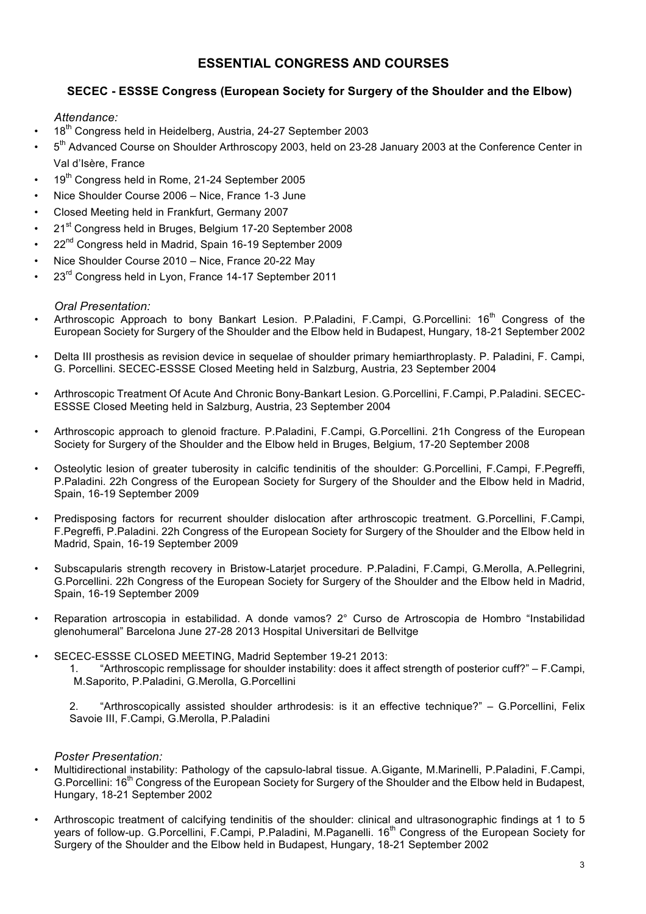# **ESSENTIAL CONGRESS AND COURSES**

## **SECEC - ESSSE Congress (European Society for Surgery of the Shoulder and the Elbow)**

#### *Attendance:*

- 18<sup>th</sup> Congress held in Heidelberg, Austria, 24-27 September 2003
- $5<sup>th</sup>$  Advanced Course on Shoulder Arthroscopy 2003, held on 23-28 January 2003 at the Conference Center in Val d'Isère, France
- 19<sup>th</sup> Congress held in Rome, 21-24 September 2005
- Nice Shoulder Course 2006 Nice, France 1-3 June
- Closed Meeting held in Frankfurt, Germany 2007
- 21<sup>st</sup> Congress held in Bruges, Belgium 17-20 September 2008
- 22<sup>nd</sup> Congress held in Madrid, Spain 16-19 September 2009
- Nice Shoulder Course 2010 Nice, France 20-22 May
- 23<sup>rd</sup> Congress held in Lyon, France 14-17 September 2011

#### *Oral Presentation:*

- Arthroscopic Approach to bony Bankart Lesion. P.Paladini, F.Campi, G.Porcellini: 16<sup>th</sup> Congress of the European Society for Surgery of the Shoulder and the Elbow held in Budapest, Hungary, 18-21 September 2002
- Delta III prosthesis as revision device in sequelae of shoulder primary hemiarthroplasty. P. Paladini, F. Campi, G. Porcellini. SECEC-ESSSE Closed Meeting held in Salzburg, Austria, 23 September 2004
- Arthroscopic Treatment Of Acute And Chronic Bony-Bankart Lesion. G.Porcellini, F.Campi, P.Paladini. SECEC-ESSSE Closed Meeting held in Salzburg, Austria, 23 September 2004
- Arthroscopic approach to glenoid fracture. P.Paladini, F.Campi, G.Porcellini. 21h Congress of the European Society for Surgery of the Shoulder and the Elbow held in Bruges, Belgium, 17-20 September 2008
- Osteolytic lesion of greater tuberosity in calcific tendinitis of the shoulder: G.Porcellini, F.Campi, F.Pegreffi, P.Paladini. 22h Congress of the European Society for Surgery of the Shoulder and the Elbow held in Madrid, Spain, 16-19 September 2009
- Predisposing factors for recurrent shoulder dislocation after arthroscopic treatment. G.Porcellini, F.Campi, F.Pegreffi, P.Paladini. 22h Congress of the European Society for Surgery of the Shoulder and the Elbow held in Madrid, Spain, 16-19 September 2009
- Subscapularis strength recovery in Bristow-Latarjet procedure. P.Paladini, F.Campi, G.Merolla, A.Pellegrini, G.Porcellini. 22h Congress of the European Society for Surgery of the Shoulder and the Elbow held in Madrid, Spain, 16-19 September 2009
- Reparation artroscopia in estabilidad. A donde vamos? 2° Curso de Artroscopia de Hombro "Instabilidad glenohumeral" Barcelona June 27-28 2013 Hospital Universitari de Bellvitge
- SECEC-ESSSE CLOSED MEETING, Madrid September 19-21 2013:

1. "Arthroscopic remplissage for shoulder instability: does it affect strength of posterior cuff?" – F.Campi, M.Saporito, P.Paladini, G.Merolla, G.Porcellini

2. "Arthroscopically assisted shoulder arthrodesis: is it an effective technique?" – G.Porcellini, Felix Savoie III, F.Campi, G.Merolla, P.Paladini

#### *Poster Presentation:*

- Multidirectional instability: Pathology of the capsulo-labral tissue. A.Gigante, M.Marinelli, P.Paladini, F.Campi, G.Porcellini: 16<sup>th</sup> Congress of the European Society for Surgery of the Shoulder and the Elbow held in Budapest, Hungary, 18-21 September 2002
- Arthroscopic treatment of calcifying tendinitis of the shoulder: clinical and ultrasonographic findings at 1 to 5 years of follow-up. G.Porcellini, F.Campi, P.Paladini, M.Paganelli. 16<sup>th</sup> Congress of the European Society for Surgery of the Shoulder and the Elbow held in Budapest, Hungary, 18-21 September 2002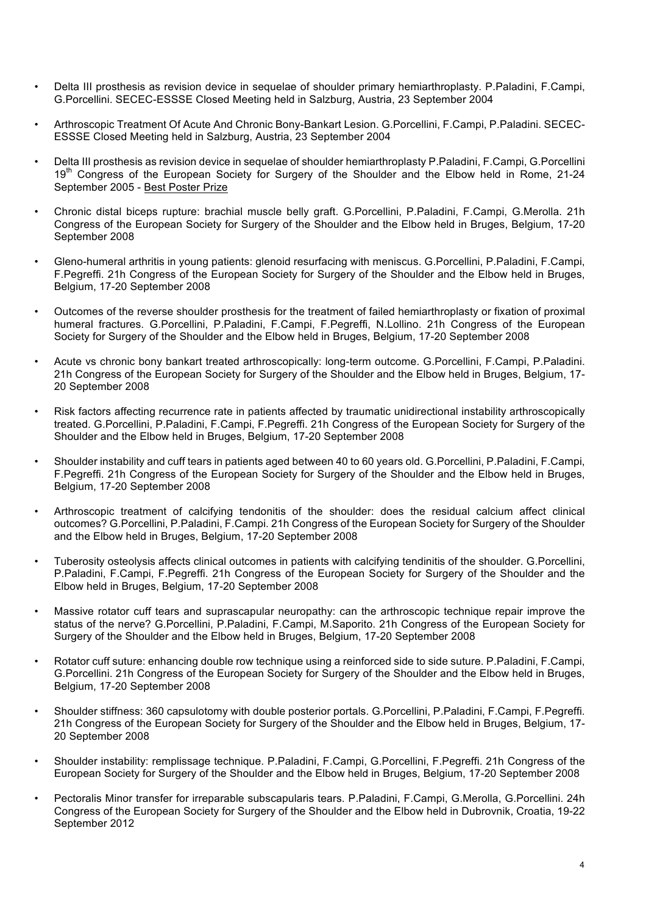- Delta III prosthesis as revision device in sequelae of shoulder primary hemiarthroplasty. P.Paladini, F.Campi, G.Porcellini. SECEC-ESSSE Closed Meeting held in Salzburg, Austria, 23 September 2004
- Arthroscopic Treatment Of Acute And Chronic Bony-Bankart Lesion. G.Porcellini, F.Campi, P.Paladini. SECEC-ESSSE Closed Meeting held in Salzburg, Austria, 23 September 2004
- Delta III prosthesis as revision device in sequelae of shoulder hemiarthroplasty P.Paladini, F.Campi, G.Porcellini 19<sup>th</sup> Congress of the European Society for Surgery of the Shoulder and the Elbow held in Rome, 21-24 September 2005 - Best Poster Prize
- Chronic distal biceps rupture: brachial muscle belly graft. G.Porcellini, P.Paladini, F.Campi, G.Merolla. 21h Congress of the European Society for Surgery of the Shoulder and the Elbow held in Bruges, Belgium, 17-20 September 2008
- Gleno-humeral arthritis in young patients: glenoid resurfacing with meniscus. G.Porcellini, P.Paladini, F.Campi, F.Pegreffi. 21h Congress of the European Society for Surgery of the Shoulder and the Elbow held in Bruges, Belgium, 17-20 September 2008
- Outcomes of the reverse shoulder prosthesis for the treatment of failed hemiarthroplasty or fixation of proximal humeral fractures. G.Porcellini, P.Paladini, F.Campi, F.Pegreffi, N.Lollino. 21h Congress of the European Society for Surgery of the Shoulder and the Elbow held in Bruges, Belgium, 17-20 September 2008
- Acute vs chronic bony bankart treated arthroscopically: long-term outcome. G.Porcellini, F.Campi, P.Paladini. 21h Congress of the European Society for Surgery of the Shoulder and the Elbow held in Bruges, Belgium, 17- 20 September 2008
- Risk factors affecting recurrence rate in patients affected by traumatic unidirectional instability arthroscopically treated. G.Porcellini, P.Paladini, F.Campi, F.Pegreffi. 21h Congress of the European Society for Surgery of the Shoulder and the Elbow held in Bruges, Belgium, 17-20 September 2008
- Shoulder instability and cuff tears in patients aged between 40 to 60 years old. G.Porcellini, P.Paladini, F.Campi, F.Pegreffi. 21h Congress of the European Society for Surgery of the Shoulder and the Elbow held in Bruges, Belgium, 17-20 September 2008
- Arthroscopic treatment of calcifying tendonitis of the shoulder: does the residual calcium affect clinical outcomes? G.Porcellini, P.Paladini, F.Campi. 21h Congress of the European Society for Surgery of the Shoulder and the Elbow held in Bruges, Belgium, 17-20 September 2008
- Tuberosity osteolysis affects clinical outcomes in patients with calcifying tendinitis of the shoulder. G.Porcellini, P.Paladini, F.Campi, F.Pegreffi. 21h Congress of the European Society for Surgery of the Shoulder and the Elbow held in Bruges, Belgium, 17-20 September 2008
- Massive rotator cuff tears and suprascapular neuropathy: can the arthroscopic technique repair improve the status of the nerve? G.Porcellini, P.Paladini, F.Campi, M.Saporito. 21h Congress of the European Society for Surgery of the Shoulder and the Elbow held in Bruges, Belgium, 17-20 September 2008
- Rotator cuff suture: enhancing double row technique using a reinforced side to side suture. P.Paladini, F.Campi, G.Porcellini. 21h Congress of the European Society for Surgery of the Shoulder and the Elbow held in Bruges, Belgium, 17-20 September 2008
- Shoulder stiffness: 360 capsulotomy with double posterior portals. G.Porcellini, P.Paladini, F.Campi, F.Pegreffi. 21h Congress of the European Society for Surgery of the Shoulder and the Elbow held in Bruges, Belgium, 17- 20 September 2008
- Shoulder instability: remplissage technique. P.Paladini, F.Campi, G.Porcellini, F.Pegreffi. 21h Congress of the European Society for Surgery of the Shoulder and the Elbow held in Bruges, Belgium, 17-20 September 2008
- Pectoralis Minor transfer for irreparable subscapularis tears. P.Paladini, F.Campi, G.Merolla, G.Porcellini. 24h Congress of the European Society for Surgery of the Shoulder and the Elbow held in Dubrovnik, Croatia, 19-22 September 2012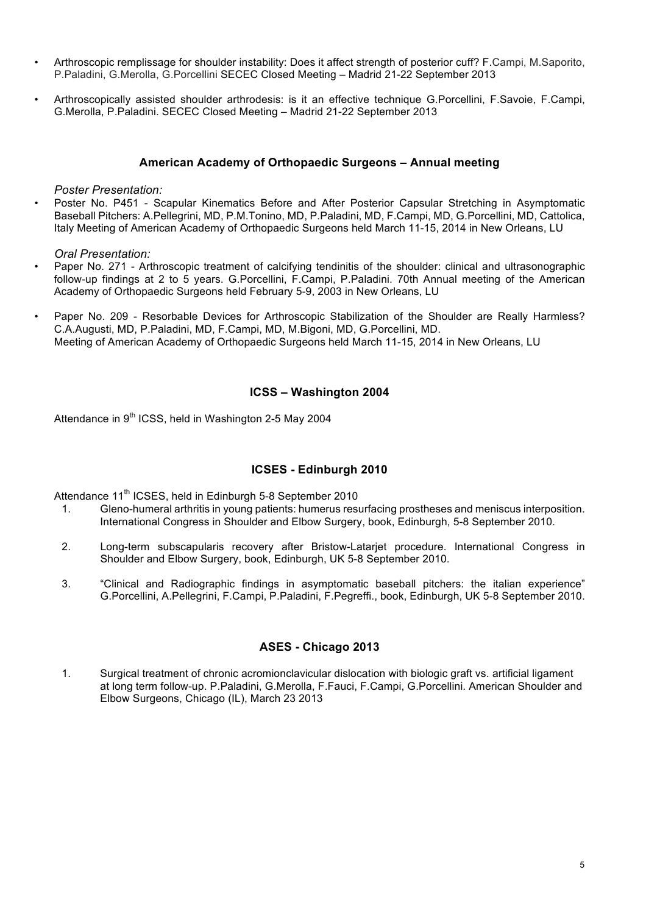- Arthroscopic remplissage for shoulder instability: Does it affect strength of posterior cuff? F.Campi, M.Saporito, P.Paladini, G.Merolla, G.Porcellini SECEC Closed Meeting – Madrid 21-22 September 2013
- Arthroscopically assisted shoulder arthrodesis: is it an effective technique G.Porcellini, F.Savoie, F.Campi, G.Merolla, P.Paladini. SECEC Closed Meeting – Madrid 21-22 September 2013

#### **American Academy of Orthopaedic Surgeons – Annual meeting**

*Poster Presentation:*

• Poster No. P451 - Scapular Kinematics Before and After Posterior Capsular Stretching in Asymptomatic Baseball Pitchers: A.Pellegrini, MD, P.M.Tonino, MD, P.Paladini, MD, F.Campi, MD, G.Porcellini, MD, Cattolica, Italy Meeting of American Academy of Orthopaedic Surgeons held March 11-15, 2014 in New Orleans, LU

*Oral Presentation:*

- Paper No. 271 Arthroscopic treatment of calcifying tendinitis of the shoulder: clinical and ultrasonographic follow-up findings at 2 to 5 years. G.Porcellini, F.Campi, P.Paladini. 70th Annual meeting of the American Academy of Orthopaedic Surgeons held February 5-9, 2003 in New Orleans, LU
- Paper No. 209 Resorbable Devices for Arthroscopic Stabilization of the Shoulder are Really Harmless? C.A.Augusti, MD, P.Paladini, MD, F.Campi, MD, M.Bigoni, MD, G.Porcellini, MD. Meeting of American Academy of Orthopaedic Surgeons held March 11-15, 2014 in New Orleans, LU

#### **ICSS – Washington 2004**

Attendance in 9<sup>th</sup> ICSS, held in Washington 2-5 May 2004

#### **ICSES - Edinburgh 2010**

Attendance 11<sup>th</sup> ICSES, held in Edinburgh 5-8 September 2010

- 1. Gleno-humeral arthritis in young patients: humerus resurfacing prostheses and meniscus interposition. International Congress in Shoulder and Elbow Surgery, book, Edinburgh, 5-8 September 2010.
- 2. Long-term subscapularis recovery after Bristow-Latarjet procedure. International Congress in Shoulder and Elbow Surgery, book, Edinburgh, UK 5-8 September 2010.
- 3. "Clinical and Radiographic findings in asymptomatic baseball pitchers: the italian experience" G.Porcellini, A.Pellegrini, F.Campi, P.Paladini, F.Pegreffi., book, Edinburgh, UK 5-8 September 2010.

## **ASES - Chicago 2013**

1. Surgical treatment of chronic acromionclavicular dislocation with biologic graft vs. artificial ligament at long term follow-up. P.Paladini, G.Merolla, F.Fauci, F.Campi, G.Porcellini. American Shoulder and Elbow Surgeons, Chicago (IL), March 23 2013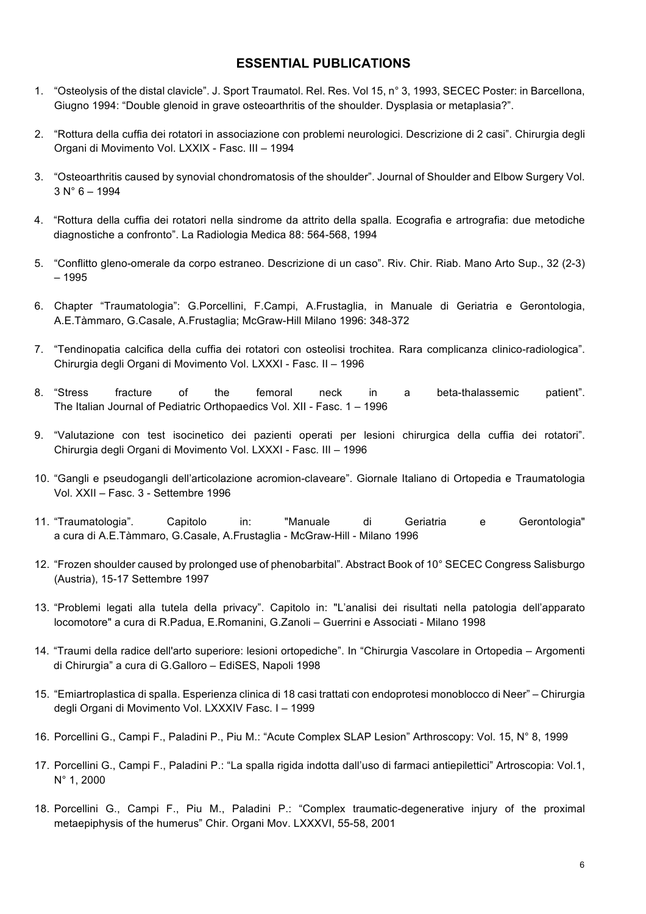# **ESSENTIAL PUBLICATIONS**

- 1. "Osteolysis of the distal clavicle". J. Sport Traumatol. Rel. Res. Vol 15, n° 3, 1993, SECEC Poster: in Barcellona, Giugno 1994: "Double glenoid in grave osteoarthritis of the shoulder. Dysplasia or metaplasia?".
- 2. "Rottura della cuffia dei rotatori in associazione con problemi neurologici. Descrizione di 2 casi". Chirurgia degli Organi di Movimento Vol. LXXIX - Fasc. III – 1994
- 3. "Osteoarthritis caused by synovial chondromatosis of the shoulder". Journal of Shoulder and Elbow Surgery Vol.  $3 N° 6 - 1994$
- 4. "Rottura della cuffia dei rotatori nella sindrome da attrito della spalla. Ecografia e artrografia: due metodiche diagnostiche a confronto". La Radiologia Medica 88: 564-568, 1994
- 5. "Conflitto gleno-omerale da corpo estraneo. Descrizione di un caso". Riv. Chir. Riab. Mano Arto Sup., 32 (2-3) – 1995
- 6. Chapter "Traumatologia": G.Porcellini, F.Campi, A.Frustaglia, in Manuale di Geriatria e Gerontologia, A.E.Tàmmaro, G.Casale, A.Frustaglia; McGraw-Hill Milano 1996: 348-372
- 7. "Tendinopatia calcifica della cuffia dei rotatori con osteolisi trochitea. Rara complicanza clinico-radiologica". Chirurgia degli Organi di Movimento Vol. LXXXI - Fasc. II – 1996
- 8. "Stress fracture of the femoral neck in a beta-thalassemic patient". The Italian Journal of Pediatric Orthopaedics Vol. XII - Fasc. 1 – 1996
- 9. "Valutazione con test isocinetico dei pazienti operati per lesioni chirurgica della cuffia dei rotatori". Chirurgia degli Organi di Movimento Vol. LXXXI - Fasc. III – 1996
- 10. "Gangli e pseudogangli dell'articolazione acromion-claveare". Giornale Italiano di Ortopedia e Traumatologia Vol. XXII – Fasc. 3 - Settembre 1996
- 11. "Traumatologia". Capitolo in: "Manuale di Geriatria e Gerontologia" a cura di A.E.Tàmmaro, G.Casale, A.Frustaglia - McGraw-Hill - Milano 1996
- 12. "Frozen shoulder caused by prolonged use of phenobarbital". Abstract Book of 10° SECEC Congress Salisburgo (Austria), 15-17 Settembre 1997
- 13. "Problemi legati alla tutela della privacy". Capitolo in: "L'analisi dei risultati nella patologia dell'apparato locomotore" a cura di R.Padua, E.Romanini, G.Zanoli – Guerrini e Associati - Milano 1998
- 14. "Traumi della radice dell'arto superiore: lesioni ortopediche". In "Chirurgia Vascolare in Ortopedia Argomenti di Chirurgia" a cura di G.Galloro – EdiSES, Napoli 1998
- 15. "Emiartroplastica di spalla. Esperienza clinica di 18 casi trattati con endoprotesi monoblocco di Neer" Chirurgia degli Organi di Movimento Vol. LXXXIV Fasc. I – 1999
- 16. Porcellini G., Campi F., Paladini P., Piu M.: "Acute Complex SLAP Lesion" Arthroscopy: Vol. 15, N° 8, 1999
- 17. Porcellini G., Campi F., Paladini P.: "La spalla rigida indotta dall'uso di farmaci antiepilettici" Artroscopia: Vol.1, N° 1, 2000
- 18. Porcellini G., Campi F., Piu M., Paladini P.: "Complex traumatic-degenerative injury of the proximal metaepiphysis of the humerus" Chir. Organi Mov. LXXXVI, 55-58, 2001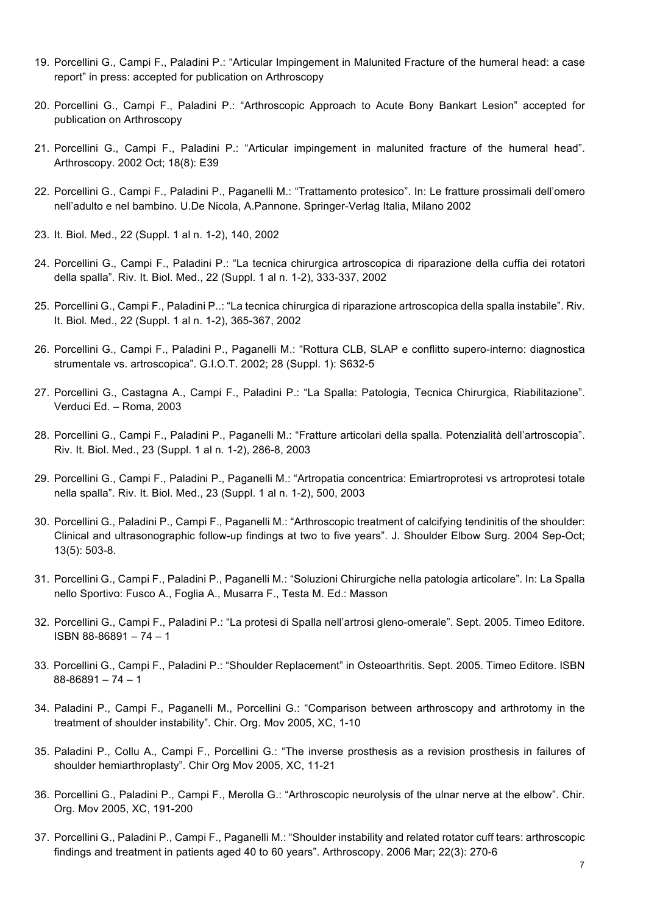- 19. Porcellini G., Campi F., Paladini P.: "Articular Impingement in Malunited Fracture of the humeral head: a case report" in press: accepted for publication on Arthroscopy
- 20. Porcellini G., Campi F., Paladini P.: "Arthroscopic Approach to Acute Bony Bankart Lesion" accepted for publication on Arthroscopy
- 21. Porcellini G., Campi F., Paladini P.: "Articular impingement in malunited fracture of the humeral head". Arthroscopy. 2002 Oct; 18(8): E39
- 22. Porcellini G., Campi F., Paladini P., Paganelli M.: "Trattamento protesico". In: Le fratture prossimali dell'omero nell'adulto e nel bambino. U.De Nicola, A.Pannone. Springer-Verlag Italia, Milano 2002
- 23. It. Biol. Med., 22 (Suppl. 1 al n. 1-2), 140, 2002
- 24. Porcellini G., Campi F., Paladini P.: "La tecnica chirurgica artroscopica di riparazione della cuffia dei rotatori della spalla". Riv. It. Biol. Med., 22 (Suppl. 1 al n. 1-2), 333-337, 2002
- 25. Porcellini G., Campi F., Paladini P..: "La tecnica chirurgica di riparazione artroscopica della spalla instabile". Riv. It. Biol. Med., 22 (Suppl. 1 al n. 1-2), 365-367, 2002
- 26. Porcellini G., Campi F., Paladini P., Paganelli M.: "Rottura CLB, SLAP e conflitto supero-interno: diagnostica strumentale vs. artroscopica". G.I.O.T. 2002; 28 (Suppl. 1): S632-5
- 27. Porcellini G., Castagna A., Campi F., Paladini P.: "La Spalla: Patologia, Tecnica Chirurgica, Riabilitazione". Verduci Ed. – Roma, 2003
- 28. Porcellini G., Campi F., Paladini P., Paganelli M.: "Fratture articolari della spalla. Potenzialità dell'artroscopia". Riv. It. Biol. Med., 23 (Suppl. 1 al n. 1-2), 286-8, 2003
- 29. Porcellini G., Campi F., Paladini P., Paganelli M.: "Artropatia concentrica: Emiartroprotesi vs artroprotesi totale nella spalla". Riv. It. Biol. Med., 23 (Suppl. 1 al n. 1-2), 500, 2003
- 30. Porcellini G., Paladini P., Campi F., Paganelli M.: "Arthroscopic treatment of calcifying tendinitis of the shoulder: Clinical and ultrasonographic follow-up findings at two to five years". J. Shoulder Elbow Surg. 2004 Sep-Oct; 13(5): 503-8.
- 31. Porcellini G., Campi F., Paladini P., Paganelli M.: "Soluzioni Chirurgiche nella patologia articolare". In: La Spalla nello Sportivo: Fusco A., Foglia A., Musarra F., Testa M. Ed.: Masson
- 32. Porcellini G., Campi F., Paladini P.: "La protesi di Spalla nell'artrosi gleno-omerale". Sept. 2005. Timeo Editore. ISBN 88-86891 – 74 – 1
- 33. Porcellini G., Campi F., Paladini P.: "Shoulder Replacement" in Osteoarthritis. Sept. 2005. Timeo Editore. ISBN  $88 - 86891 - 74 - 1$
- 34. Paladini P., Campi F., Paganelli M., Porcellini G.: "Comparison between arthroscopy and arthrotomy in the treatment of shoulder instability". Chir. Org. Mov 2005, XC, 1-10
- 35. Paladini P., Collu A., Campi F., Porcellini G.: "The inverse prosthesis as a revision prosthesis in failures of shoulder hemiarthroplasty". Chir Org Mov 2005, XC, 11-21
- 36. Porcellini G., Paladini P., Campi F., Merolla G.: "Arthroscopic neurolysis of the ulnar nerve at the elbow". Chir. Org. Mov 2005, XC, 191-200
- 37. Porcellini G., Paladini P., Campi F., Paganelli M.: "Shoulder instability and related rotator cuff tears: arthroscopic findings and treatment in patients aged 40 to 60 years". Arthroscopy. 2006 Mar; 22(3): 270-6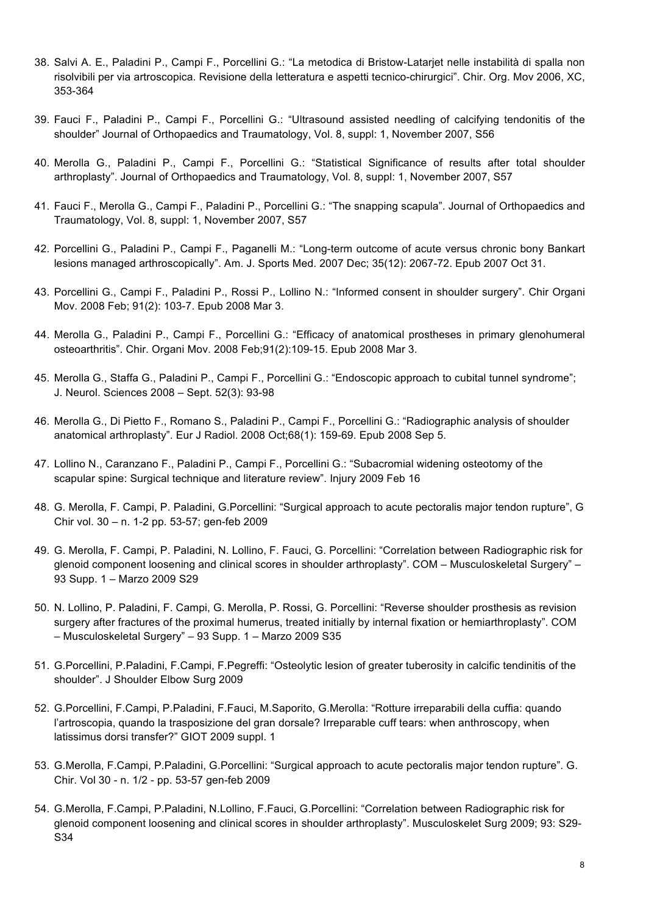- 38. Salvi A. E., Paladini P., Campi F., Porcellini G.: "La metodica di Bristow-Latarjet nelle instabilità di spalla non risolvibili per via artroscopica. Revisione della letteratura e aspetti tecnico-chirurgici". Chir. Org. Mov 2006, XC, 353-364
- 39. Fauci F., Paladini P., Campi F., Porcellini G.: "Ultrasound assisted needling of calcifying tendonitis of the shoulder" Journal of Orthopaedics and Traumatology, Vol. 8, suppl: 1, November 2007, S56
- 40. Merolla G., Paladini P., Campi F., Porcellini G.: "Statistical Significance of results after total shoulder arthroplasty". Journal of Orthopaedics and Traumatology, Vol. 8, suppl: 1, November 2007, S57
- 41. Fauci F., Merolla G., Campi F., Paladini P., Porcellini G.: "The snapping scapula". Journal of Orthopaedics and Traumatology, Vol. 8, suppl: 1, November 2007, S57
- 42. Porcellini G., Paladini P., Campi F., Paganelli M.: "Long-term outcome of acute versus chronic bony Bankart lesions managed arthroscopically". Am. J. Sports Med. 2007 Dec; 35(12): 2067-72. Epub 2007 Oct 31.
- 43. Porcellini G., Campi F., Paladini P., Rossi P., Lollino N.: "Informed consent in shoulder surgery". Chir Organi Mov. 2008 Feb; 91(2): 103-7. Epub 2008 Mar 3.
- 44. Merolla G., Paladini P., Campi F., Porcellini G.: "Efficacy of anatomical prostheses in primary glenohumeral osteoarthritis". Chir. Organi Mov. 2008 Feb;91(2):109-15. Epub 2008 Mar 3.
- 45. Merolla G., Staffa G., Paladini P., Campi F., Porcellini G.: "Endoscopic approach to cubital tunnel syndrome"; J. Neurol. Sciences 2008 – Sept. 52(3): 93-98
- 46. Merolla G., Di Pietto F., Romano S., Paladini P., Campi F., Porcellini G.: "Radiographic analysis of shoulder anatomical arthroplasty". Eur J Radiol. 2008 Oct;68(1): 159-69. Epub 2008 Sep 5.
- 47. Lollino N., Caranzano F., Paladini P., Campi F., Porcellini G.: "Subacromial widening osteotomy of the scapular spine: Surgical technique and literature review". Injury 2009 Feb 16
- 48. G. Merolla, F. Campi, P. Paladini, G.Porcellini: "Surgical approach to acute pectoralis major tendon rupture", G Chir vol. 30 – n. 1-2 pp. 53-57; gen-feb 2009
- 49. G. Merolla, F. Campi, P. Paladini, N. Lollino, F. Fauci, G. Porcellini: "Correlation between Radiographic risk for glenoid component loosening and clinical scores in shoulder arthroplasty". COM – Musculoskeletal Surgery" – 93 Supp. 1 – Marzo 2009 S29
- 50. N. Lollino, P. Paladini, F. Campi, G. Merolla, P. Rossi, G. Porcellini: "Reverse shoulder prosthesis as revision surgery after fractures of the proximal humerus, treated initially by internal fixation or hemiarthroplasty". COM – Musculoskeletal Surgery" – 93 Supp. 1 – Marzo 2009 S35
- 51. G.Porcellini, P.Paladini, F.Campi, F.Pegreffi: "Osteolytic lesion of greater tuberosity in calcific tendinitis of the shoulder". J Shoulder Elbow Surg 2009
- 52. G.Porcellini, F.Campi, P.Paladini, F.Fauci, M.Saporito, G.Merolla: "Rotture irreparabili della cuffia: quando l'artroscopia, quando la trasposizione del gran dorsale? Irreparable cuff tears: when anthroscopy, when latissimus dorsi transfer?" GIOT 2009 suppl. 1
- 53. G.Merolla, F.Campi, P.Paladini, G.Porcellini: "Surgical approach to acute pectoralis major tendon rupture". G. Chir. Vol 30 - n. 1/2 - pp. 53-57 gen-feb 2009
- 54. G.Merolla, F.Campi, P.Paladini, N.Lollino, F.Fauci, G.Porcellini: "Correlation between Radiographic risk for glenoid component loosening and clinical scores in shoulder arthroplasty". Musculoskelet Surg 2009; 93: S29- S34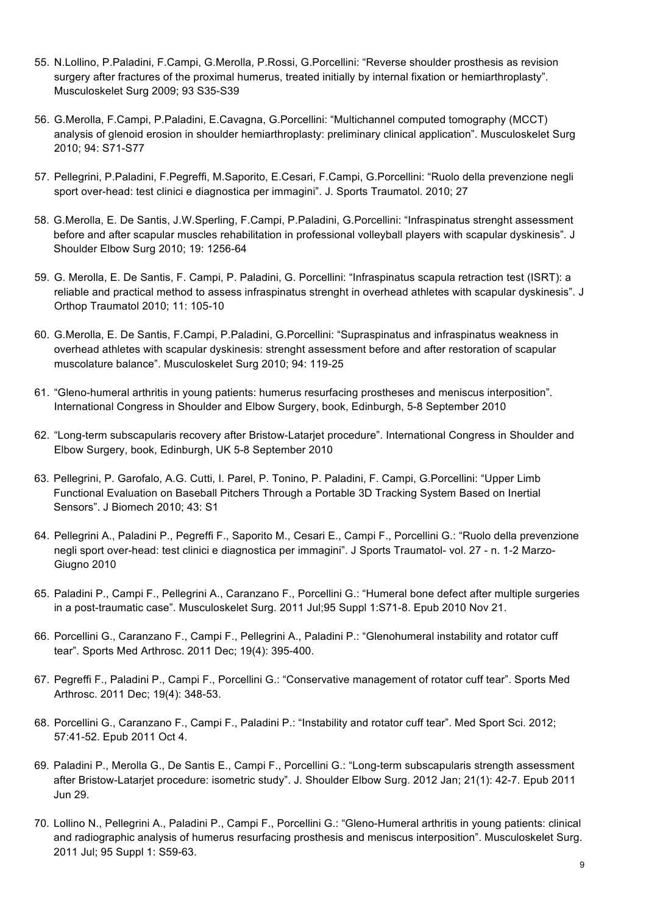- 55. N.Lollino, P.Paladini, F.Campi, G.Merolla, P.Rossi, G.Porcellini: "Reverse shoulder prosthesis as revision surgery after fractures of the proximal humerus, treated initially by internal fixation or hemiarthroplasty". Musculoskelet Surg 2009; 93 S35-S39
- 56. G.Merolla, F.Campi, P.Paladini, E.Cavagna, G.Porcellini: "Multichannel computed tomography (MCCT) analysis of glenoid erosion in shoulder hemiarthroplasty: preliminary clinical application". Musculoskelet Surg 2010; 94: S71-S77
- 57. Pellegrini, P.Paladini, F.Pegreffi, M.Saporito, E.Cesari, F.Campi, G.Porcellini: "Ruolo della prevenzione negli sport over-head: test clinici e diagnostica per immagini". J. Sports Traumatol. 2010; 27
- 58. G.Merolla, E. De Santis, J.W.Sperling, F.Campi, P.Paladini, G.Porcellini: "Infraspinatus strenght assessment before and after scapular muscles rehabilitation in professional volleyball players with scapular dyskinesis". J Shoulder Elbow Surg 2010; 19: 1256-64
- 59. G. Merolla, E. De Santis, F. Campi, P. Paladini, G. Porcellini: "Infraspinatus scapula retraction test (ISRT): a reliable and practical method to assess infraspinatus strenght in overhead athletes with scapular dyskinesis". J Orthop Traumatol 2010; 11: 105-10
- 60. G.Merolla, E. De Santis, F.Campi, P.Paladini, G.Porcellini: "Supraspinatus and infraspinatus weakness in overhead athletes with scapular dyskinesis: strenght assessment before and after restoration of scapular muscolature balance". Musculoskelet Surg 2010; 94: 119-25
- 61. "Gleno-humeral arthritis in young patients: humerus resurfacing prostheses and meniscus interposition". International Congress in Shoulder and Elbow Surgery, book, Edinburgh, 5-8 September 2010
- 62. "Long-term subscapularis recovery after Bristow-Latarjet procedure". International Congress in Shoulder and Elbow Surgery, book, Edinburgh, UK 5-8 September 2010
- 63. Pellegrini, P. Garofalo, A.G. Cutti, I. Parel, P. Tonino, P. Paladini, F. Campi, G.Porcellini: "Upper Limb Functional Evaluation on Baseball Pitchers Through a Portable 3D Tracking System Based on Inertial Sensors". J Biomech 2010; 43: S1
- 64. Pellegrini A., Paladini P., Pegreffi F., Saporito M., Cesari E., Campi F., Porcellini G.: "Ruolo della prevenzione negli sport over-head: test clinici e diagnostica per immagini". J Sports Traumatol- vol. 27 - n. 1-2 Marzo-Giugno 2010
- 65. Paladini P., Campi F., Pellegrini A., Caranzano F., Porcellini G.: "Humeral bone defect after multiple surgeries in a post-traumatic case". Musculoskelet Surg. 2011 Jul;95 Suppl 1:S71-8. Epub 2010 Nov 21.
- 66. Porcellini G., Caranzano F., Campi F., Pellegrini A., Paladini P.: "Glenohumeral instability and rotator cuff tear". Sports Med Arthrosc. 2011 Dec; 19(4): 395-400.
- 67. Pegreffi F., Paladini P., Campi F., Porcellini G.: "Conservative management of rotator cuff tear". Sports Med Arthrosc. 2011 Dec; 19(4): 348-53.
- 68. Porcellini G., Caranzano F., Campi F., Paladini P.: "Instability and rotator cuff tear". Med Sport Sci. 2012; 57:41-52. Epub 2011 Oct 4.
- 69. Paladini P., Merolla G., De Santis E., Campi F., Porcellini G.: "Long-term subscapularis strength assessment after Bristow-Latarjet procedure: isometric study". J. Shoulder Elbow Surg. 2012 Jan; 21(1): 42-7. Epub 2011 Jun 29.
- 70. Lollino N., Pellegrini A., Paladini P., Campi F., Porcellini G.: "Gleno-Humeral arthritis in young patients: clinical and radiographic analysis of humerus resurfacing prosthesis and meniscus interposition". Musculoskelet Surg. 2011 Jul; 95 Suppl 1: S59-63.